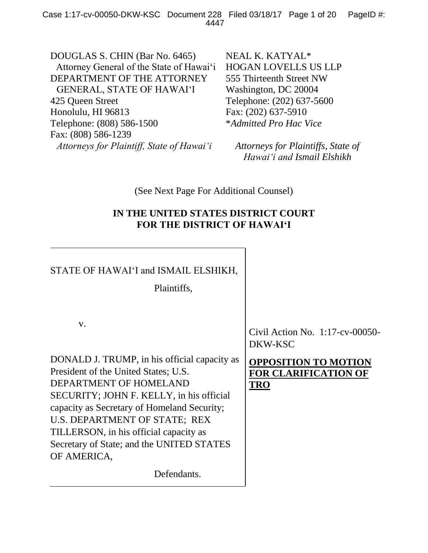DOUGLAS S. CHIN (Bar No. 6465) Attorney General of the State of Hawai'i DEPARTMENT OF THE ATTORNEY GENERAL, STATE OF HAWAI'I 425 Queen Street Honolulu, HI 96813 Telephone: (808) 586-1500 Fax: (808) 586-1239 *Attorneys for Plaintiff, State of Hawai'i*

NEAL K. KATYAL\* HOGAN LOVELLS US LLP 555 Thirteenth Street NW Washington, DC 20004 Telephone: (202) 637-5600 Fax: (202) 637-5910 \**Admitted Pro Hac Vice*

*Attorneys for Plaintiffs, State of Hawai'i and Ismail Elshikh*

(See Next Page For Additional Counsel)

# **IN THE UNITED STATES DISTRICT COURT FOR THE DISTRICT OF HAWAI'I**

# STATE OF HAWAI'I and ISMAIL ELSHIKH, Plaintiffs, v. DONALD J. TRUMP, in his official capacity as President of the United States; U.S. DEPARTMENT OF HOMELAND SECURITY; JOHN F. KELLY, in his official capacity as Secretary of Homeland Security; U.S. DEPARTMENT OF STATE; REX TILLERSON, in his official capacity as Secretary of State; and the UNITED STATES OF AMERICA, Defendants. Civil Action No. 1:17-cv-00050- DKW-KSC **OPPOSITION TO MOTION FOR CLARIFICATION OF TRO**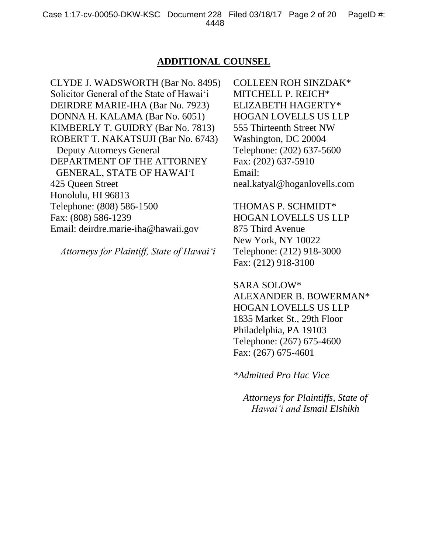# **ADDITIONAL COUNSEL**

CLYDE J. WADSWORTH (Bar No. 8495) Solicitor General of the State of Hawai'i DEIRDRE MARIE-IHA (Bar No. 7923) DONNA H. KALAMA (Bar No. 6051) KIMBERLY T. GUIDRY (Bar No. 7813) ROBERT T. NAKATSUJI (Bar No. 6743) Deputy Attorneys General DEPARTMENT OF THE ATTORNEY GENERAL, STATE OF HAWAI'I 425 Queen Street Honolulu, HI 96813 Telephone: (808) 586-1500 Fax: (808) 586-1239 Email: deirdre.marie-iha@hawaii.gov

*Attorneys for Plaintiff, State of Hawai'i*

COLLEEN ROH SINZDAK\* MITCHELL P. REICH\* ELIZABETH HAGERTY\* HOGAN LOVELLS US LLP 555 Thirteenth Street NW Washington, DC 20004 Telephone: (202) 637-5600 Fax: (202) 637-5910 Email: neal.katyal@hoganlovells.com

THOMAS P. SCHMIDT\* HOGAN LOVELLS US LLP 875 Third Avenue New York, NY 10022 Telephone: (212) 918-3000 Fax: (212) 918-3100

SARA SOLOW\* ALEXANDER B. BOWERMAN\* HOGAN LOVELLS US LLP 1835 Market St., 29th Floor Philadelphia, PA 19103 Telephone: (267) 675-4600 Fax: (267) 675-4601

*\*Admitted Pro Hac Vice*

*Attorneys for Plaintiffs, State of Hawai'i and Ismail Elshikh*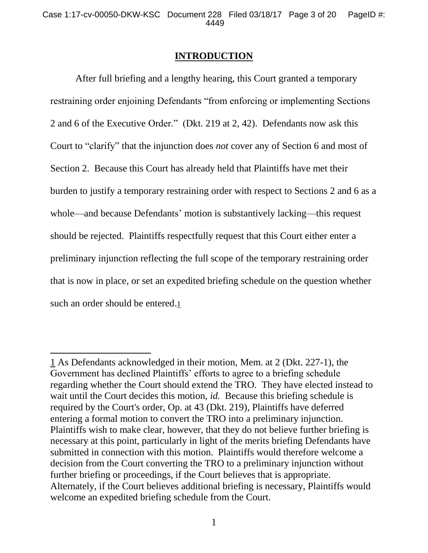## **INTRODUCTION**

After full briefing and a lengthy hearing, this Court granted a temporary restraining order enjoining Defendants "from enforcing or implementing Sections 2 and 6 of the Executive Order." (Dkt. 219 at 2, 42). Defendants now ask this Court to "clarify" that the injunction does *not* cover any of Section 6 and most of Section 2. Because this Court has already held that Plaintiffs have met their burden to justify a temporary restraining order with respect to Sections 2 and 6 as a whole—and because Defendants' motion is substantively lacking—this request should be rejected. Plaintiffs respectfully request that this Court either enter a preliminary injunction reflecting the full scope of the temporary restraining order that is now in place, or set an expedited briefing schedule on the question whether such an order should be entered.1

 $\overline{a}$ 

<sup>1</sup> As Defendants acknowledged in their motion, Mem. at 2 (Dkt. 227-1), the Government has declined Plaintiffs' efforts to agree to a briefing schedule regarding whether the Court should extend the TRO. They have elected instead to wait until the Court decides this motion, *id.* Because this briefing schedule is required by the Court's order, Op. at 43 (Dkt. 219), Plaintiffs have deferred entering a formal motion to convert the TRO into a preliminary injunction. Plaintiffs wish to make clear, however, that they do not believe further briefing is necessary at this point, particularly in light of the merits briefing Defendants have submitted in connection with this motion. Plaintiffs would therefore welcome a decision from the Court converting the TRO to a preliminary injunction without further briefing or proceedings, if the Court believes that is appropriate. Alternately, if the Court believes additional briefing is necessary, Plaintiffs would welcome an expedited briefing schedule from the Court.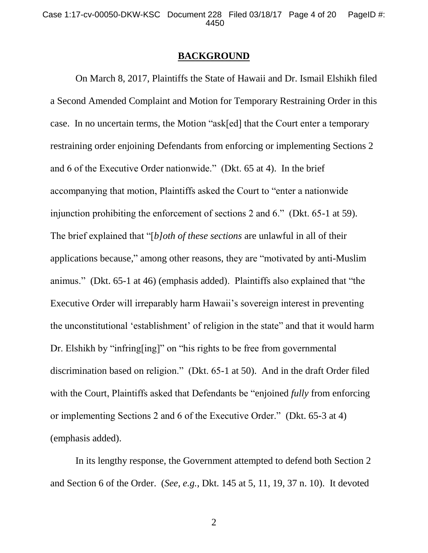#### **BACKGROUND**

On March 8, 2017, Plaintiffs the State of Hawaii and Dr. Ismail Elshikh filed a Second Amended Complaint and Motion for Temporary Restraining Order in this case. In no uncertain terms, the Motion "ask[ed] that the Court enter a temporary restraining order enjoining Defendants from enforcing or implementing Sections 2 and 6 of the Executive Order nationwide." (Dkt. 65 at 4). In the brief accompanying that motion, Plaintiffs asked the Court to "enter a nationwide injunction prohibiting the enforcement of sections 2 and 6." (Dkt. 65-1 at 59). The brief explained that "[*b]oth of these sections* are unlawful in all of their applications because," among other reasons, they are "motivated by anti-Muslim animus." (Dkt. 65-1 at 46) (emphasis added). Plaintiffs also explained that "the Executive Order will irreparably harm Hawaii's sovereign interest in preventing the unconstitutional 'establishment' of religion in the state" and that it would harm Dr. Elshikh by "infring[ing]" on "his rights to be free from governmental discrimination based on religion." (Dkt. 65-1 at 50). And in the draft Order filed with the Court, Plaintiffs asked that Defendants be "enjoined *fully* from enforcing or implementing Sections 2 and 6 of the Executive Order." (Dkt. 65-3 at 4) (emphasis added).

In its lengthy response, the Government attempted to defend both Section 2 and Section 6 of the Order. (*See, e.g.*, Dkt. 145 at 5, 11, 19, 37 n. 10). It devoted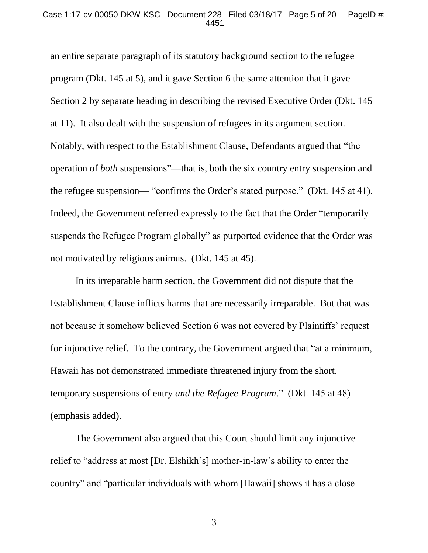#### Case 1:17-cv-00050-DKW-KSC Document 228 Filed 03/18/17 Page 5 of 20 PageID #: 4451

an entire separate paragraph of its statutory background section to the refugee program (Dkt. 145 at 5), and it gave Section 6 the same attention that it gave Section 2 by separate heading in describing the revised Executive Order (Dkt. 145 at 11). It also dealt with the suspension of refugees in its argument section. Notably, with respect to the Establishment Clause, Defendants argued that "the operation of *both* suspensions"—that is, both the six country entry suspension and the refugee suspension— "confirms the Order's stated purpose." (Dkt. 145 at 41). Indeed, the Government referred expressly to the fact that the Order "temporarily suspends the Refugee Program globally" as purported evidence that the Order was not motivated by religious animus. (Dkt. 145 at 45).

In its irreparable harm section, the Government did not dispute that the Establishment Clause inflicts harms that are necessarily irreparable. But that was not because it somehow believed Section 6 was not covered by Plaintiffs' request for injunctive relief. To the contrary, the Government argued that "at a minimum, Hawaii has not demonstrated immediate threatened injury from the short, temporary suspensions of entry *and the Refugee Program*." (Dkt. 145 at 48) (emphasis added).

The Government also argued that this Court should limit any injunctive relief to "address at most [Dr. Elshikh's] mother-in-law's ability to enter the country" and "particular individuals with whom [Hawaii] shows it has a close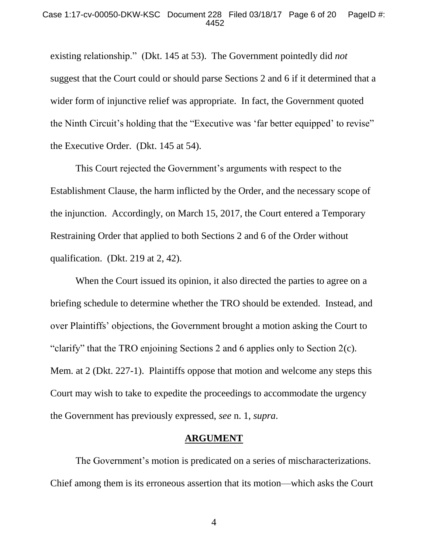existing relationship." (Dkt. 145 at 53). The Government pointedly did *not*  suggest that the Court could or should parse Sections 2 and 6 if it determined that a wider form of injunctive relief was appropriate. In fact, the Government quoted the Ninth Circuit's holding that the "Executive was 'far better equipped' to revise" the Executive Order. (Dkt. 145 at 54).

This Court rejected the Government's arguments with respect to the Establishment Clause, the harm inflicted by the Order, and the necessary scope of the injunction. Accordingly, on March 15, 2017, the Court entered a Temporary Restraining Order that applied to both Sections 2 and 6 of the Order without qualification. (Dkt. 219 at 2, 42).

When the Court issued its opinion, it also directed the parties to agree on a briefing schedule to determine whether the TRO should be extended. Instead, and over Plaintiffs' objections, the Government brought a motion asking the Court to "clarify" that the TRO enjoining Sections 2 and 6 applies only to Section 2(c). Mem. at 2 (Dkt. 227-1). Plaintiffs oppose that motion and welcome any steps this Court may wish to take to expedite the proceedings to accommodate the urgency the Government has previously expressed, *see* n. 1, *supra*.

### **ARGUMENT**

The Government's motion is predicated on a series of mischaracterizations. Chief among them is its erroneous assertion that its motion—which asks the Court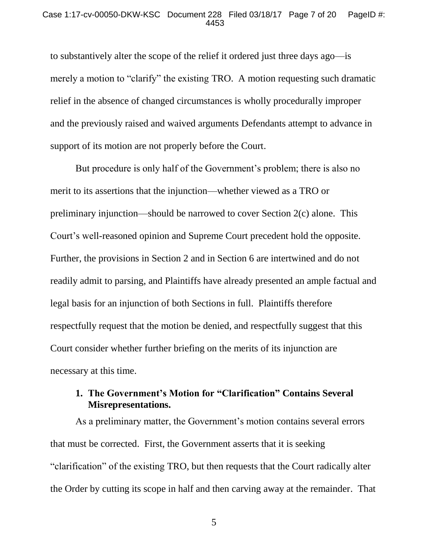#### Case 1:17-cv-00050-DKW-KSC Document 228 Filed 03/18/17 Page 7 of 20 PageID #: 4453

to substantively alter the scope of the relief it ordered just three days ago—is merely a motion to "clarify" the existing TRO. A motion requesting such dramatic relief in the absence of changed circumstances is wholly procedurally improper and the previously raised and waived arguments Defendants attempt to advance in support of its motion are not properly before the Court.

But procedure is only half of the Government's problem; there is also no merit to its assertions that the injunction—whether viewed as a TRO or preliminary injunction—should be narrowed to cover Section 2(c) alone. This Court's well-reasoned opinion and Supreme Court precedent hold the opposite. Further, the provisions in Section 2 and in Section 6 are intertwined and do not readily admit to parsing, and Plaintiffs have already presented an ample factual and legal basis for an injunction of both Sections in full. Plaintiffs therefore respectfully request that the motion be denied, and respectfully suggest that this Court consider whether further briefing on the merits of its injunction are necessary at this time.

# **1. The Government's Motion for "Clarification" Contains Several Misrepresentations.**

As a preliminary matter, the Government's motion contains several errors that must be corrected. First, the Government asserts that it is seeking "clarification" of the existing TRO, but then requests that the Court radically alter the Order by cutting its scope in half and then carving away at the remainder. That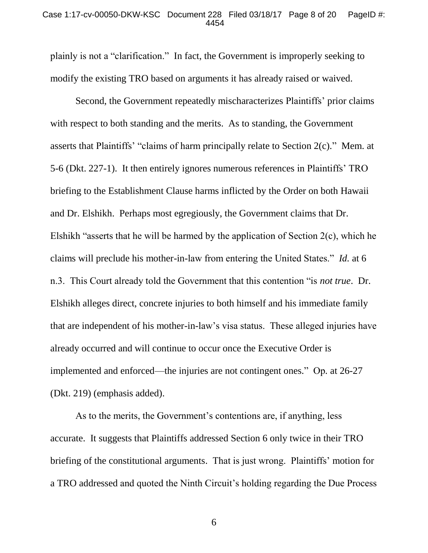#### Case 1:17-cv-00050-DKW-KSC Document 228 Filed 03/18/17 Page 8 of 20 PageID #: 4454

plainly is not a "clarification." In fact, the Government is improperly seeking to modify the existing TRO based on arguments it has already raised or waived.

Second, the Government repeatedly mischaracterizes Plaintiffs' prior claims with respect to both standing and the merits. As to standing, the Government asserts that Plaintiffs' "claims of harm principally relate to Section 2(c)." Mem. at 5-6 (Dkt. 227-1). It then entirely ignores numerous references in Plaintiffs' TRO briefing to the Establishment Clause harms inflicted by the Order on both Hawaii and Dr. Elshikh. Perhaps most egregiously, the Government claims that Dr. Elshikh "asserts that he will be harmed by the application of Section 2(c), which he claims will preclude his mother-in-law from entering the United States." *Id.* at 6 n.3. This Court already told the Government that this contention "is *not true*. Dr. Elshikh alleges direct, concrete injuries to both himself and his immediate family that are independent of his mother-in-law's visa status. These alleged injuries have already occurred and will continue to occur once the Executive Order is implemented and enforced—the injuries are not contingent ones." Op*.* at 26-27 (Dkt. 219) (emphasis added).

As to the merits, the Government's contentions are, if anything, less accurate. It suggests that Plaintiffs addressed Section 6 only twice in their TRO briefing of the constitutional arguments. That is just wrong. Plaintiffs' motion for a TRO addressed and quoted the Ninth Circuit's holding regarding the Due Process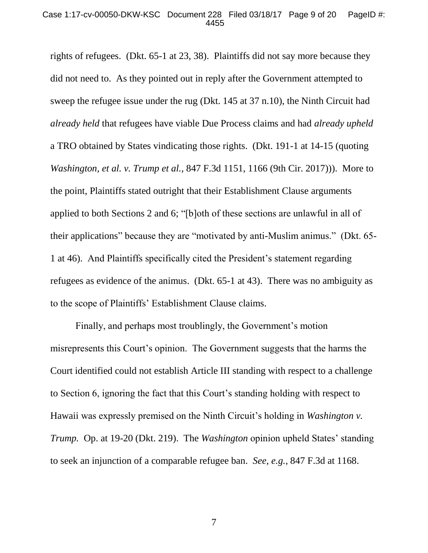#### Case 1:17-cv-00050-DKW-KSC Document 228 Filed 03/18/17 Page 9 of 20 PageID #: 4455

rights of refugees. (Dkt. 65-1 at 23, 38). Plaintiffs did not say more because they did not need to. As they pointed out in reply after the Government attempted to sweep the refugee issue under the rug (Dkt. 145 at 37 n.10), the Ninth Circuit had *already held* that refugees have viable Due Process claims and had *already upheld* a TRO obtained by States vindicating those rights. (Dkt. 191-1 at 14-15 (quoting *Washington, et al. v. Trump et al.*, 847 F.3d 1151, 1166 (9th Cir. 2017))). More to the point, Plaintiffs stated outright that their Establishment Clause arguments applied to both Sections 2 and 6; "[b]oth of these sections are unlawful in all of their applications" because they are "motivated by anti-Muslim animus." (Dkt. 65- 1 at 46). And Plaintiffs specifically cited the President's statement regarding refugees as evidence of the animus. (Dkt. 65-1 at 43). There was no ambiguity as to the scope of Plaintiffs' Establishment Clause claims.

Finally, and perhaps most troublingly, the Government's motion misrepresents this Court's opinion. The Government suggests that the harms the Court identified could not establish Article III standing with respect to a challenge to Section 6, ignoring the fact that this Court's standing holding with respect to Hawaii was expressly premised on the Ninth Circuit's holding in *Washington v. Trump.* Op. at 19-20 (Dkt. 219). The *Washington* opinion upheld States' standing to seek an injunction of a comparable refugee ban. *See, e.g.*, 847 F.3d at 1168.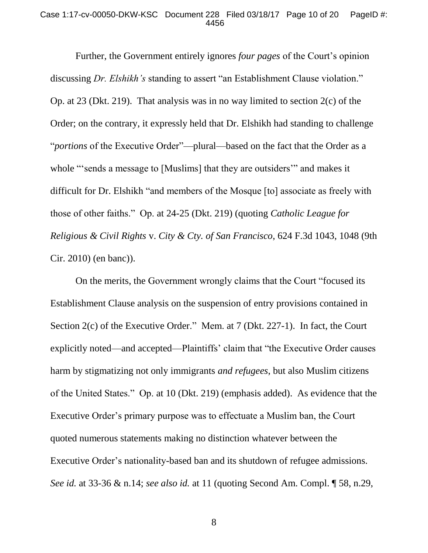#### Case 1:17-cv-00050-DKW-KSC Document 228 Filed 03/18/17 Page 10 of 20 PageID #: 4456

Further, the Government entirely ignores *four pages* of the Court's opinion discussing *Dr. Elshikh's* standing to assert "an Establishment Clause violation." Op. at 23 (Dkt. 219). That analysis was in no way limited to section 2(c) of the Order; on the contrary, it expressly held that Dr. Elshikh had standing to challenge "*portions* of the Executive Order"—plural—based on the fact that the Order as a whole "'sends a message to [Muslims] that they are outsiders" and makes it difficult for Dr. Elshikh "and members of the Mosque [to] associate as freely with those of other faiths." Op. at 24-25 (Dkt. 219) (quoting *Catholic League for Religious & Civil Rights* v. *City & Cty. of San Francisco*, 624 F.3d 1043, 1048 (9th Cir. 2010) (en banc)).

On the merits, the Government wrongly claims that the Court "focused its Establishment Clause analysis on the suspension of entry provisions contained in Section 2(c) of the Executive Order." Mem. at 7 (Dkt. 227-1). In fact, the Court explicitly noted—and accepted—Plaintiffs' claim that "the Executive Order causes harm by stigmatizing not only immigrants *and refugees*, but also Muslim citizens of the United States." Op. at 10 (Dkt. 219) (emphasis added). As evidence that the Executive Order's primary purpose was to effectuate a Muslim ban, the Court quoted numerous statements making no distinction whatever between the Executive Order's nationality-based ban and its shutdown of refugee admissions. *See id.* at 33-36 & n.14; *see also id.* at 11 (quoting Second Am. Compl. ¶ 58, n.29,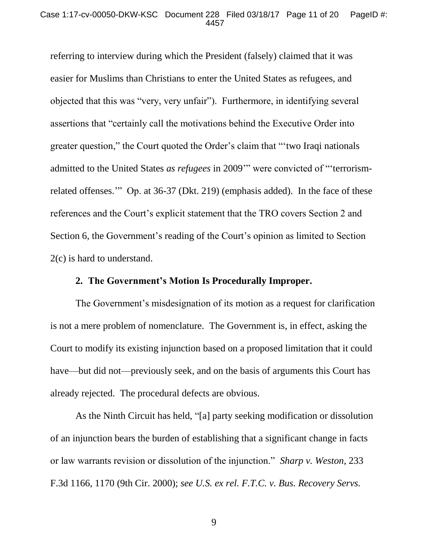#### Case 1:17-cv-00050-DKW-KSC Document 228 Filed 03/18/17 Page 11 of 20 PageID #: 4457

referring to interview during which the President (falsely) claimed that it was easier for Muslims than Christians to enter the United States as refugees, and objected that this was "very, very unfair"). Furthermore, in identifying several assertions that "certainly call the motivations behind the Executive Order into greater question," the Court quoted the Order's claim that "'two Iraqi nationals admitted to the United States *as refugees* in 2009'" were convicted of "'terrorismrelated offenses.'" Op. at 36-37 (Dkt. 219) (emphasis added). In the face of these references and the Court's explicit statement that the TRO covers Section 2 and Section 6, the Government's reading of the Court's opinion as limited to Section 2(c) is hard to understand.

# **2. The Government's Motion Is Procedurally Improper.**

The Government's misdesignation of its motion as a request for clarification is not a mere problem of nomenclature. The Government is, in effect, asking the Court to modify its existing injunction based on a proposed limitation that it could have—but did not—previously seek, and on the basis of arguments this Court has already rejected. The procedural defects are obvious.

As the Ninth Circuit has held, "[a] party seeking modification or dissolution of an injunction bears the burden of establishing that a significant change in facts or law warrants revision or dissolution of the injunction." *Sharp v. Weston*, 233 F.3d 1166, 1170 (9th Cir. 2000); *see U.S. ex rel. F.T.C. v. Bus. Recovery Servs.*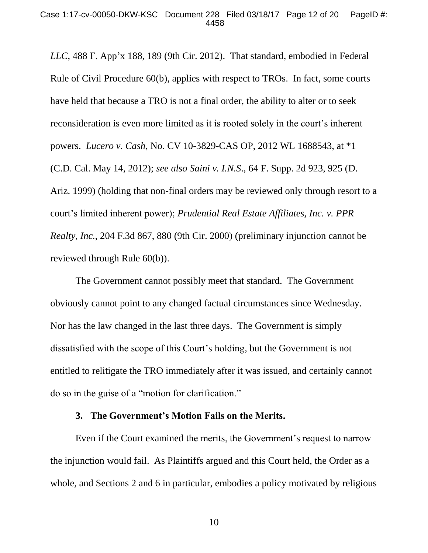*LLC*, 488 F. App'x 188, 189 (9th Cir. 2012). That standard, embodied in Federal Rule of Civil Procedure 60(b), applies with respect to TROs. In fact, some courts have held that because a TRO is not a final order, the ability to alter or to seek reconsideration is even more limited as it is rooted solely in the court's inherent powers. *Lucero v. Cash*, No. CV 10-3829-CAS OP, 2012 WL 1688543, at \*1 (C.D. Cal. May 14, 2012); *see also Saini v. I.N.S*., 64 F. Supp. 2d 923, 925 (D. Ariz. 1999) (holding that non-final orders may be reviewed only through resort to a court's limited inherent power); *Prudential Real Estate Affiliates, Inc. v. PPR Realty, Inc.*, 204 F.3d 867, 880 (9th Cir. 2000) (preliminary injunction cannot be reviewed through Rule 60(b)).

The Government cannot possibly meet that standard. The Government obviously cannot point to any changed factual circumstances since Wednesday. Nor has the law changed in the last three days. The Government is simply dissatisfied with the scope of this Court's holding, but the Government is not entitled to relitigate the TRO immediately after it was issued, and certainly cannot do so in the guise of a "motion for clarification."

#### **3. The Government's Motion Fails on the Merits.**

Even if the Court examined the merits, the Government's request to narrow the injunction would fail. As Plaintiffs argued and this Court held, the Order as a whole, and Sections 2 and 6 in particular, embodies a policy motivated by religious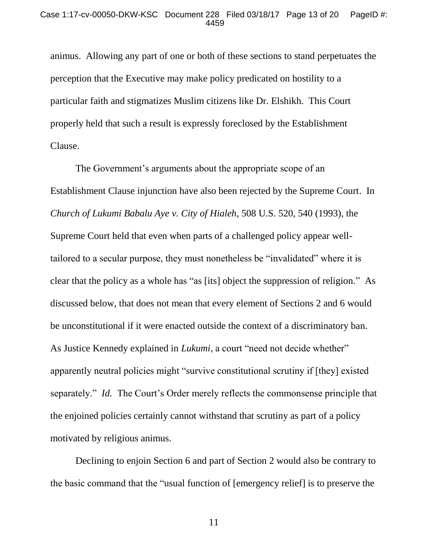animus. Allowing any part of one or both of these sections to stand perpetuates the perception that the Executive may make policy predicated on hostility to a particular faith and stigmatizes Muslim citizens like Dr. Elshikh. This Court properly held that such a result is expressly foreclosed by the Establishment Clause.

The Government's arguments about the appropriate scope of an Establishment Clause injunction have also been rejected by the Supreme Court. In *Church of Lukumi Babalu Aye v. City of Hialeh*, 508 U.S. 520, 540 (1993), the Supreme Court held that even when parts of a challenged policy appear welltailored to a secular purpose, they must nonetheless be "invalidated" where it is clear that the policy as a whole has "as [its] object the suppression of religion." As discussed below, that does not mean that every element of Sections 2 and 6 would be unconstitutional if it were enacted outside the context of a discriminatory ban. As Justice Kennedy explained in *Lukumi*, a court "need not decide whether" apparently neutral policies might "survive constitutional scrutiny if [they] existed separately." *Id.* The Court's Order merely reflects the commonsense principle that the enjoined policies certainly cannot withstand that scrutiny as part of a policy motivated by religious animus.

Declining to enjoin Section 6 and part of Section 2 would also be contrary to the basic command that the "usual function of [emergency relief] is to preserve the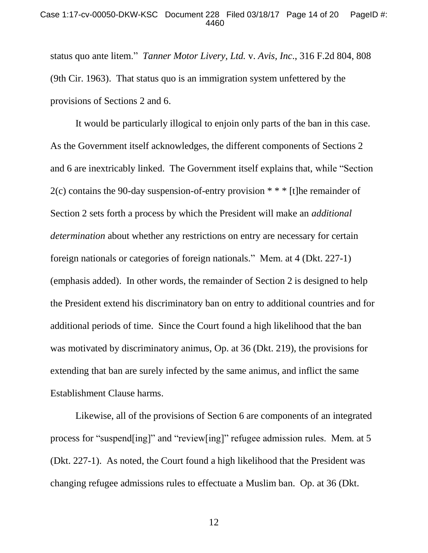#### Case 1:17-cv-00050-DKW-KSC Document 228 Filed 03/18/17 Page 14 of 20 PageID #: 4460

status quo ante litem." *Tanner Motor Livery, Ltd.* v. *Avis, Inc*., 316 F.2d 804, 808 (9th Cir. 1963). That status quo is an immigration system unfettered by the provisions of Sections 2 and 6.

It would be particularly illogical to enjoin only parts of the ban in this case. As the Government itself acknowledges, the different components of Sections 2 and 6 are inextricably linked. The Government itself explains that, while "Section 2(c) contains the 90-day suspension-of-entry provision \* \* \* [t]he remainder of Section 2 sets forth a process by which the President will make an *additional determination* about whether any restrictions on entry are necessary for certain foreign nationals or categories of foreign nationals." Mem. at 4 (Dkt. 227-1) (emphasis added). In other words, the remainder of Section 2 is designed to help the President extend his discriminatory ban on entry to additional countries and for additional periods of time. Since the Court found a high likelihood that the ban was motivated by discriminatory animus, Op. at 36 (Dkt. 219), the provisions for extending that ban are surely infected by the same animus, and inflict the same Establishment Clause harms.

Likewise, all of the provisions of Section 6 are components of an integrated process for "suspend[ing]" and "review[ing]" refugee admission rules. Mem. at 5 (Dkt. 227-1). As noted, the Court found a high likelihood that the President was changing refugee admissions rules to effectuate a Muslim ban. Op. at 36 (Dkt.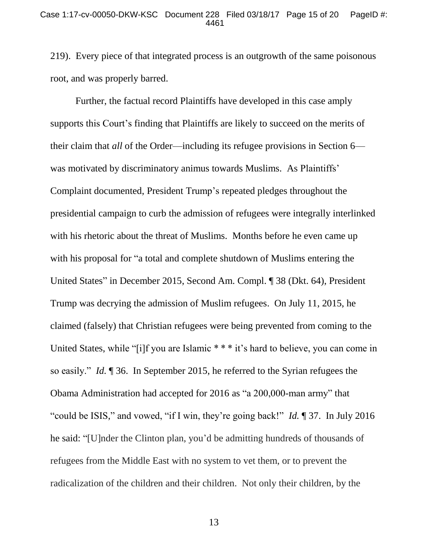219). Every piece of that integrated process is an outgrowth of the same poisonous root, and was properly barred.

Further, the factual record Plaintiffs have developed in this case amply supports this Court's finding that Plaintiffs are likely to succeed on the merits of their claim that *all* of the Order—including its refugee provisions in Section 6 was motivated by discriminatory animus towards Muslims. As Plaintiffs' Complaint documented, President Trump's repeated pledges throughout the presidential campaign to curb the admission of refugees were integrally interlinked with his rhetoric about the threat of Muslims. Months before he even came up with his proposal for "a total and complete shutdown of Muslims entering the United States" in December 2015, Second Am. Compl. ¶ 38 (Dkt. 64), President Trump was decrying the admission of Muslim refugees. On July 11, 2015, he claimed (falsely) that Christian refugees were being prevented from coming to the United States, while "[i]f you are Islamic \* \* \* it's hard to believe, you can come in so easily." *Id.* ¶ 36. In September 2015, he referred to the Syrian refugees the Obama Administration had accepted for 2016 as "a 200,000-man army" that "could be ISIS," and vowed, "if I win, they're going back!" *Id.* ¶ 37. In July 2016 he said: "[U]nder the Clinton plan, you'd be admitting hundreds of thousands of refugees from the Middle East with no system to vet them, or to prevent the radicalization of the children and their children. Not only their children, by the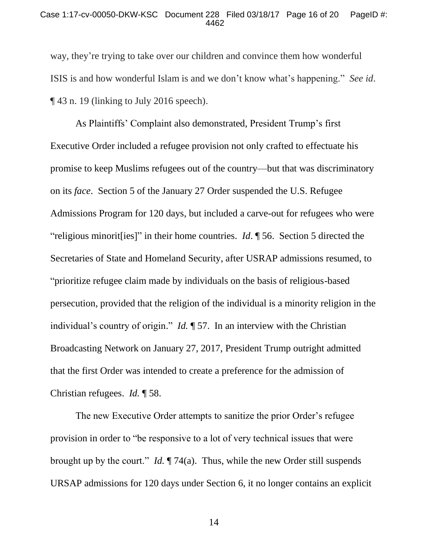#### Case 1:17-cv-00050-DKW-KSC Document 228 Filed 03/18/17 Page 16 of 20 PageID #: 4462

way, they're trying to take over our children and convince them how wonderful ISIS is and how wonderful Islam is and we don't know what's happening." *See id*. ¶ 43 n. 19 (linking to July 2016 speech).

As Plaintiffs' Complaint also demonstrated, President Trump's first Executive Order included a refugee provision not only crafted to effectuate his promise to keep Muslims refugees out of the country—but that was discriminatory on its *face*. Section 5 of the January 27 Order suspended the U.S. Refugee Admissions Program for 120 days, but included a carve-out for refugees who were "religious minorit[ies]" in their home countries. *Id*. ¶ 56. Section 5 directed the Secretaries of State and Homeland Security, after USRAP admissions resumed, to "prioritize refugee claim made by individuals on the basis of religious-based persecution, provided that the religion of the individual is a minority religion in the individual's country of origin." *Id.* ¶ 57. In an interview with the Christian Broadcasting Network on January 27, 2017, President Trump outright admitted that the first Order was intended to create a preference for the admission of Christian refugees. *Id.* ¶ 58.

The new Executive Order attempts to sanitize the prior Order's refugee provision in order to "be responsive to a lot of very technical issues that were brought up by the court." *Id.* ¶ 74(a). Thus, while the new Order still suspends URSAP admissions for 120 days under Section 6, it no longer contains an explicit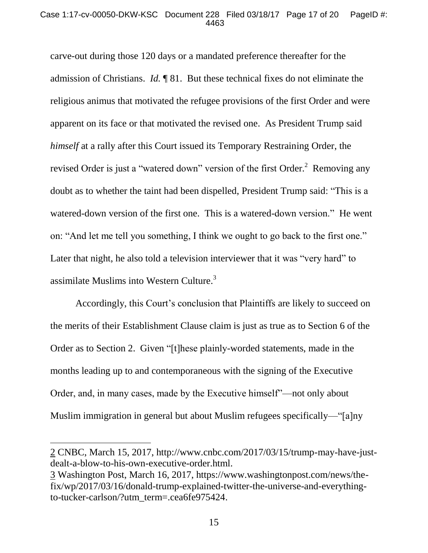#### Case 1:17-cv-00050-DKW-KSC Document 228 Filed 03/18/17 Page 17 of 20 PageID #: 4463

carve-out during those 120 days or a mandated preference thereafter for the admission of Christians. *Id.* ¶ 81. But these technical fixes do not eliminate the religious animus that motivated the refugee provisions of the first Order and were apparent on its face or that motivated the revised one. As President Trump said *himself* at a rally after this Court issued its Temporary Restraining Order, the revised Order is just a "watered down" version of the first Order.<sup>2</sup> Removing any doubt as to whether the taint had been dispelled, President Trump said: "This is a watered-down version of the first one. This is a watered-down version." He went on: "And let me tell you something, I think we ought to go back to the first one." Later that night, he also told a television interviewer that it was "very hard" to assimilate Muslims into Western Culture. $3$ 

Accordingly, this Court's conclusion that Plaintiffs are likely to succeed on the merits of their Establishment Clause claim is just as true as to Section 6 of the Order as to Section 2. Given "[t]hese plainly-worded statements, made in the months leading up to and contemporaneous with the signing of the Executive Order, and, in many cases, made by the Executive himself"—not only about Muslim immigration in general but about Muslim refugees specifically—"[a]ny

<sup>2</sup> CNBC, March 15, 2017, http://www.cnbc.com/2017/03/15/trump-may-have-justdealt-a-blow-to-his-own-executive-order.html.

<sup>3</sup> Washington Post, March 16, 2017, https://www.washingtonpost.com/news/thefix/wp/2017/03/16/donald-trump-explained-twitter-the-universe-and-everythingto-tucker-carlson/?utm\_term=.cea6fe975424.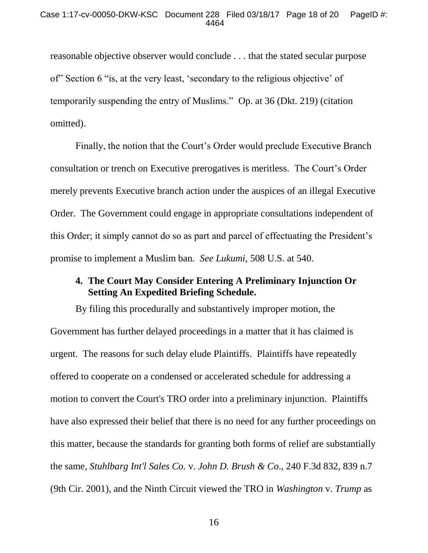reasonable objective observer would conclude . . . that the stated secular purpose of" Section 6 "is, at the very least, 'secondary to the religious objective' of temporarily suspending the entry of Muslims." Op. at 36 (Dkt. 219) (citation omitted).

Finally, the notion that the Court's Order would preclude Executive Branch consultation or trench on Executive prerogatives is meritless. The Court's Order merely prevents Executive branch action under the auspices of an illegal Executive Order. The Government could engage in appropriate consultations independent of this Order; it simply cannot do so as part and parcel of effectuating the President's promise to implement a Muslim ban. *See Lukumi*, 508 U.S. at 540.

# **4. The Court May Consider Entering A Preliminary Injunction Or Setting An Expedited Briefing Schedule.**

By filing this procedurally and substantively improper motion, the Government has further delayed proceedings in a matter that it has claimed is urgent. The reasons for such delay elude Plaintiffs. Plaintiffs have repeatedly offered to cooperate on a condensed or accelerated schedule for addressing a motion to convert the Court's TRO order into a preliminary injunction. Plaintiffs have also expressed their belief that there is no need for any further proceedings on this matter, because the standards for granting both forms of relief are substantially the same, *Stuhlbarg Int'l Sales Co.* v. *John D. Brush & Co*., 240 F.3d 832, 839 n.7 (9th Cir. 2001), and the Ninth Circuit viewed the TRO in *Washington* v. *Trump* as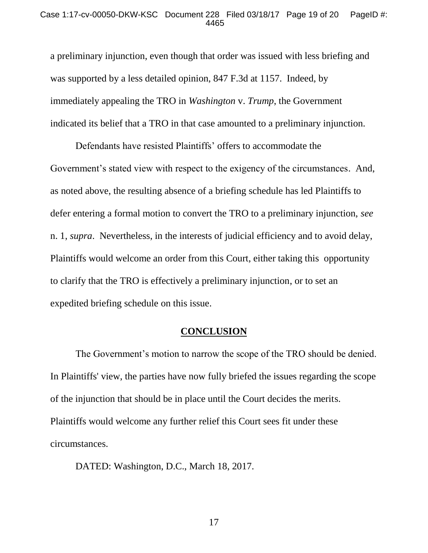#### Case 1:17-cv-00050-DKW-KSC Document 228 Filed 03/18/17 Page 19 of 20 PageID #: 4465

a preliminary injunction, even though that order was issued with less briefing and was supported by a less detailed opinion, 847 F.3d at 1157. Indeed, by immediately appealing the TRO in *Washington* v. *Trump*, the Government indicated its belief that a TRO in that case amounted to a preliminary injunction.

Defendants have resisted Plaintiffs' offers to accommodate the Government's stated view with respect to the exigency of the circumstances. And, as noted above, the resulting absence of a briefing schedule has led Plaintiffs to defer entering a formal motion to convert the TRO to a preliminary injunction, *see*  n. 1, *supra*. Nevertheless, in the interests of judicial efficiency and to avoid delay, Plaintiffs would welcome an order from this Court, either taking this opportunity to clarify that the TRO is effectively a preliminary injunction, or to set an expedited briefing schedule on this issue.

## **CONCLUSION**

The Government's motion to narrow the scope of the TRO should be denied. In Plaintiffs' view, the parties have now fully briefed the issues regarding the scope of the injunction that should be in place until the Court decides the merits. Plaintiffs would welcome any further relief this Court sees fit under these circumstances.

DATED: Washington, D.C., March 18, 2017.